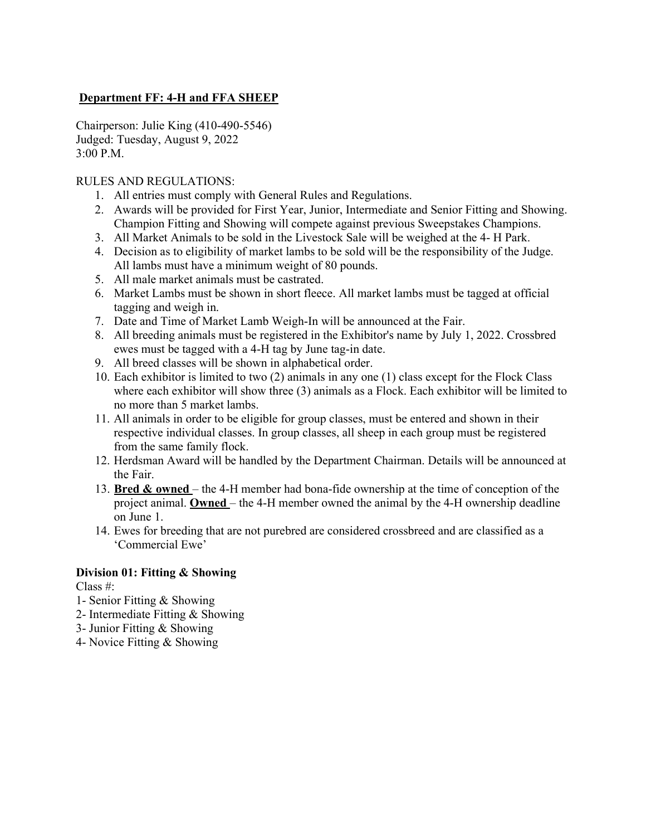# **Department FF: 4-H and FFA SHEEP**

Chairperson: Julie King (410-490-5546) Judged: Tuesday, August 9, 2022 3:00 P.M.

### RULES AND REGULATIONS:

- 1. All entries must comply with General Rules and Regulations.
- 2. Awards will be provided for First Year, Junior, Intermediate and Senior Fitting and Showing. Champion Fitting and Showing will compete against previous Sweepstakes Champions.
- 3. All Market Animals to be sold in the Livestock Sale will be weighed at the 4- H Park.
- 4. Decision as to eligibility of market lambs to be sold will be the responsibility of the Judge. All lambs must have a minimum weight of 80 pounds.
- 5. All male market animals must be castrated.
- 6. Market Lambs must be shown in short fleece. All market lambs must be tagged at official tagging and weigh in.
- 7. Date and Time of Market Lamb Weigh-In will be announced at the Fair.
- 8. All breeding animals must be registered in the Exhibitor's name by July 1, 2022. Crossbred ewes must be tagged with a 4-H tag by June tag-in date.
- 9. All breed classes will be shown in alphabetical order.
- 10. Each exhibitor is limited to two (2) animals in any one (1) class except for the Flock Class where each exhibitor will show three (3) animals as a Flock. Each exhibitor will be limited to no more than 5 market lambs.
- 11. All animals in order to be eligible for group classes, must be entered and shown in their respective individual classes. In group classes, all sheep in each group must be registered from the same family flock.
- 12. Herdsman Award will be handled by the Department Chairman. Details will be announced at the Fair.
- 13. **Bred & owned**  the 4-H member had bona-fide ownership at the time of conception of the project animal. **Owned** – the 4-H member owned the animal by the 4-H ownership deadline on June 1.
- 14. Ewes for breeding that are not purebred are considered crossbreed and are classified as a 'Commercial Ewe'

### **Division 01: Fitting & Showing**

Class #:

- 1- Senior Fitting & Showing
- 2- Intermediate Fitting & Showing
- 3- Junior Fitting & Showing
- 4- Novice Fitting & Showing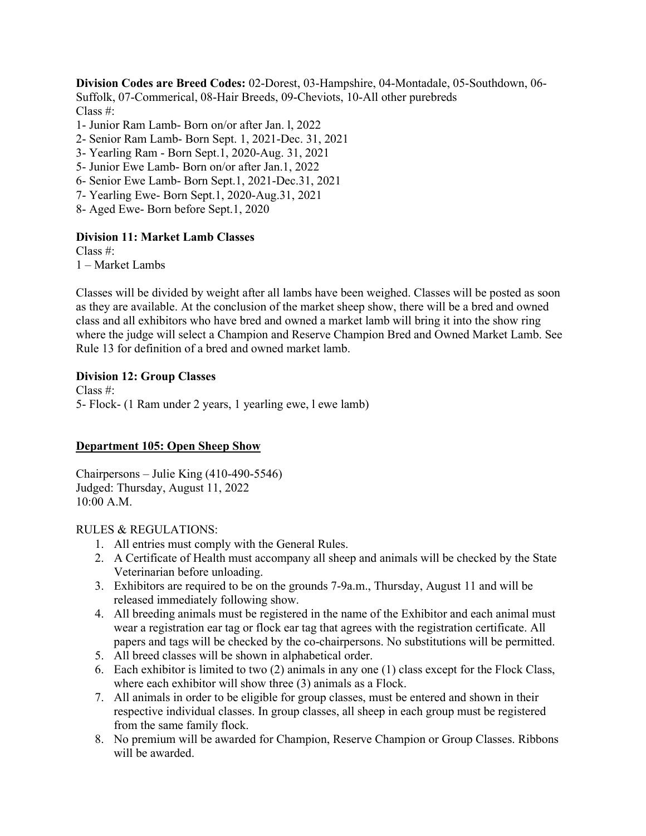**Division Codes are Breed Codes:** 02-Dorest, 03-Hampshire, 04-Montadale, 05-Southdown, 06- Suffolk, 07-Commerical, 08-Hair Breeds, 09-Cheviots, 10-All other purebreds Class #:

- 1- Junior Ram Lamb- Born on/or after Jan. l, 2022
- 2- Senior Ram Lamb- Born Sept. 1, 2021-Dec. 31, 2021
- 3- Yearling Ram Born Sept.1, 2020-Aug. 31, 2021
- 5- Junior Ewe Lamb- Born on/or after Jan.1, 2022
- 6- Senior Ewe Lamb- Born Sept.1, 2021-Dec.31, 2021
- 7- Yearling Ewe- Born Sept.1, 2020-Aug.31, 2021
- 8- Aged Ewe- Born before Sept.1, 2020

#### **Division 11: Market Lamb Classes**

Class #:

1 – Market Lambs

Classes will be divided by weight after all lambs have been weighed. Classes will be posted as soon as they are available. At the conclusion of the market sheep show, there will be a bred and owned class and all exhibitors who have bred and owned a market lamb will bring it into the show ring where the judge will select a Champion and Reserve Champion Bred and Owned Market Lamb. See Rule 13 for definition of a bred and owned market lamb.

#### **Division 12: Group Classes**

Class #: 5- Flock- (1 Ram under 2 years, 1 yearling ewe, l ewe lamb)

### **Department 105: Open Sheep Show**

Chairpersons – Julie King (410-490-5546) Judged: Thursday, August 11, 2022 10:00 A.M.

#### RULES & REGULATIONS:

- 1. All entries must comply with the General Rules.
- 2. A Certificate of Health must accompany all sheep and animals will be checked by the State Veterinarian before unloading.
- 3. Exhibitors are required to be on the grounds 7-9a.m., Thursday, August 11 and will be released immediately following show.
- 4. All breeding animals must be registered in the name of the Exhibitor and each animal must wear a registration ear tag or flock ear tag that agrees with the registration certificate. All papers and tags will be checked by the co-chairpersons. No substitutions will be permitted.
- 5. All breed classes will be shown in alphabetical order.
- 6. Each exhibitor is limited to two (2) animals in any one (1) class except for the Flock Class, where each exhibitor will show three (3) animals as a Flock.
- 7. All animals in order to be eligible for group classes, must be entered and shown in their respective individual classes. In group classes, all sheep in each group must be registered from the same family flock.
- 8. No premium will be awarded for Champion, Reserve Champion or Group Classes. Ribbons will be awarded.